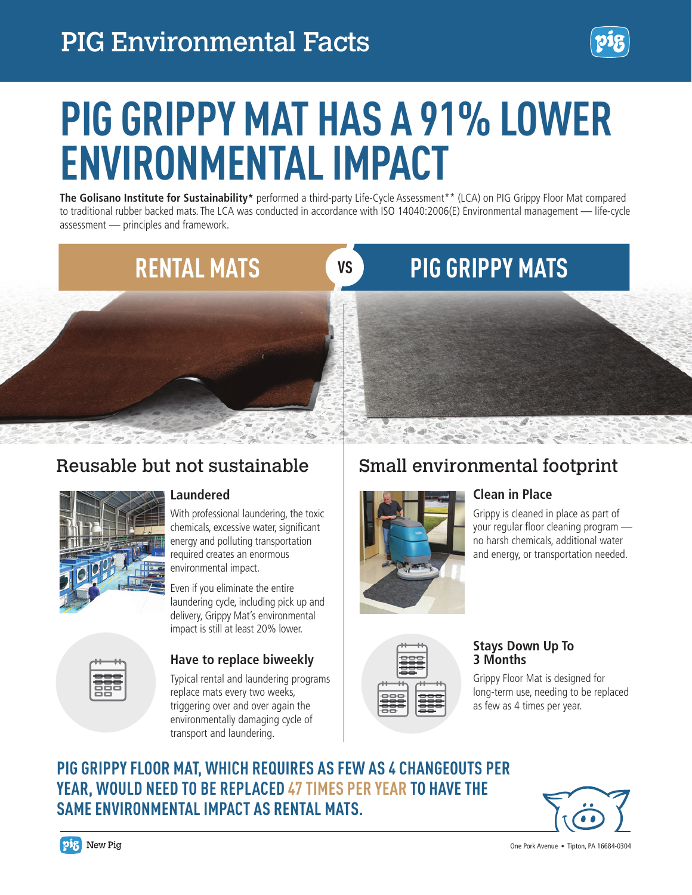

**The Golisano Institute for Sustainability\*** performed a third-party Life-Cycle Assessment\*\* (LCA) on PIG Grippy Floor Mat compared to traditional rubber backed mats. The LCA was conducted in accordance with ISO 14040:2006(E) Environmental management — life-cycle assessment — principles and framework.

 **VS**

# **RENTAL MATS PIG GRIPPY MATS**



### Reusable but not sustainable



#### **Laundered**

With professional laundering, the toxic chemicals, excessive water, significant energy and polluting transportation required creates an enormous environmental impact.

Even if you eliminate the entire laundering cycle, including pick up and delivery, Grippy Mat's environmental impact is still at least 20% lower.



#### **Have to replace biweekly**

Typical rental and laundering programs replace mats every two weeks, triggering over and over again the environmentally damaging cycle of transport and laundering.

## Small environmental footprint



#### **Clean in Place**

Grippy is cleaned in place as part of your regular floor cleaning program no harsh chemicals, additional water and energy, or transportation needed.



#### **Stays Down Up To 3 Months**

Grippy Floor Mat is designed for long-term use, needing to be replaced as few as 4 times per year.

### **PIG GRIPPY FLOOR MAT, WHICH REQUIRES AS FEW AS 4 CHANGEOUTS PER YEAR, WOULD NEED TO BE REPLACED 47 TIMES PER YEAR TO HAVE THE SAME ENVIRONMENTAL IMPACT AS RENTAL MATS.**



One Pork Avenue • Tipton, PA 16684-0304